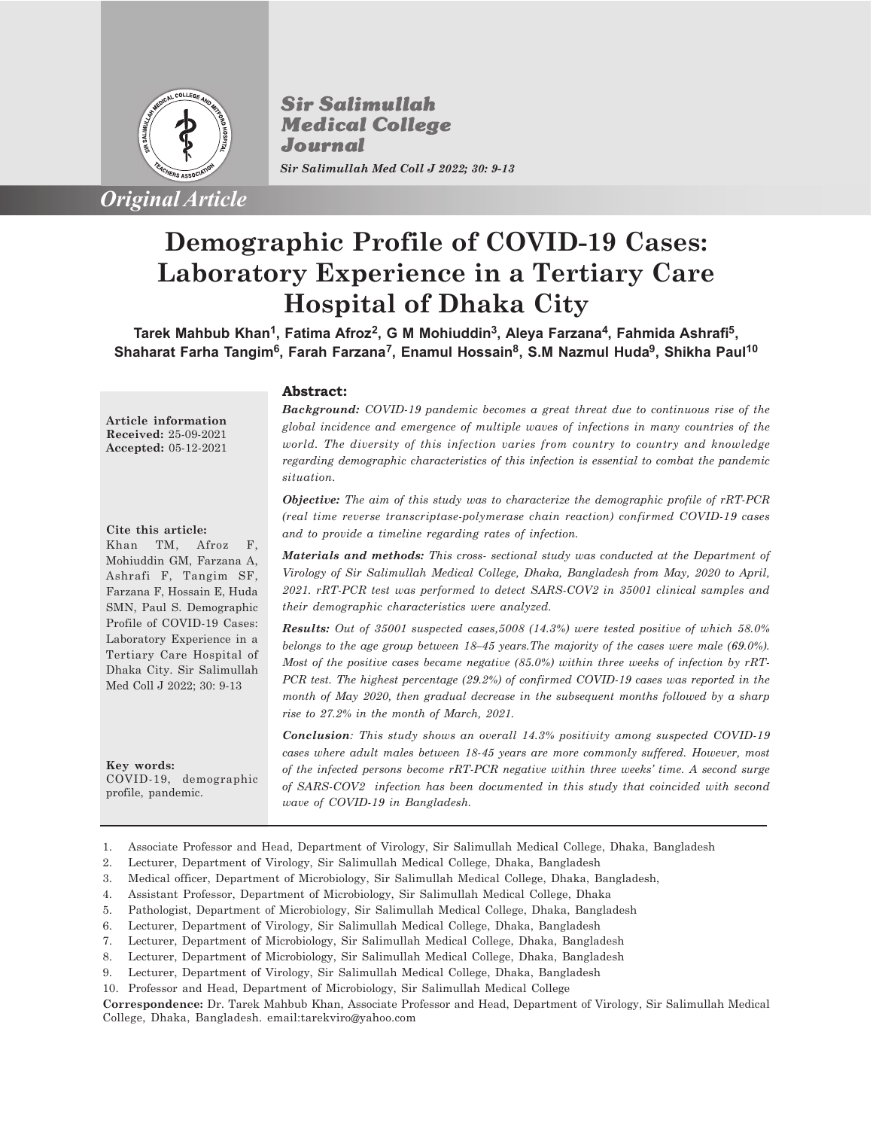

*Original Article*

**Sir Salimullah Medical College** Journal *Sir Salimullah Med Coll J 2022; 30: 9-13*

# **Demographic Profile of COVID-19 Cases: Laboratory Experience in a Tertiary Care Hospital of Dhaka City**

**Tarek Mahbub Khan<sup>1</sup> , Fatima Afroz<sup>2</sup> , G M Mohiuddin<sup>3</sup> , Aleya Farzana<sup>4</sup> , Fahmida Ashrafi<sup>5</sup> , Shaharat Farha Tangim<sup>6</sup> , Farah Farzana<sup>7</sup> , Enamul Hossain<sup>8</sup> , S.M Nazmul Huda<sup>9</sup> , Shikha Paul<sup>10</sup>**

**Abstract:**

**Article information Received:** 25-09-2021 **Accepted:** 05-12-2021

#### **Cite this article:**

Khan TM, Afroz F, Mohiuddin GM, Farzana A, Ashrafi F, Tangim SF, Farzana F, Hossain E, Huda SMN, Paul S. Demographic Profile of COVID-19 Cases: Laboratory Experience in a Tertiary Care Hospital of Dhaka City. Sir Salimullah Med Coll J 2022; 30: 9-13

**Key words:** COVID-19, demographic profile, pandemic.

*Background: COVID-19 pandemic becomes a great threat due to continuous rise of the global incidence and emergence of multiple waves of infections in many countries of the world. The diversity of this infection varies from country to country and knowledge regarding demographic characteristics of this infection is essential to combat the pandemic situation.*

*Objective: The aim of this study was to characterize the demographic profile of rRT-PCR (real time reverse transcriptase-polymerase chain reaction) confirmed COVID-19 cases and to provide a timeline regarding rates of infection.*

*Materials and methods: This cross- sectional study was conducted at the Department of Virology of Sir Salimullah Medical College, Dhaka, Bangladesh from May, 2020 to April, 2021. rRT-PCR test was performed to detect SARS-COV2 in 35001 clinical samples and their demographic characteristics were analyzed.*

*Results: Out of 35001 suspected cases,5008 (14.3%) were tested positive of which 58.0% belongs to the age group between 18–45 years.The majority of the cases were male (69.0%). Most of the positive cases became negative (85.0%) within three weeks of infection by rRT-PCR test. The highest percentage (29.2%) of confirmed COVID-19 cases was reported in the month of May 2020, then gradual decrease in the subsequent months followed by a sharp rise to 27.2% in the month of March, 2021.*

*Conclusion: This study shows an overall 14.3% positivity among suspected COVID-19 cases where adult males between 18-45 years are more commonly suffered. However, most of the infected persons become rRT-PCR negative within three weeks' time. A second surge of SARS-COV2 infection has been documented in this study that coincided with second wave of COVID-19 in Bangladesh.*

- 1. Associate Professor and Head, Department of Virology, Sir Salimullah Medical College, Dhaka, Bangladesh
- 2. Lecturer, Department of Virology, Sir Salimullah Medical College, Dhaka, Bangladesh
- 3. Medical officer, Department of Microbiology, Sir Salimullah Medical College, Dhaka, Bangladesh,
- 4. Assistant Professor, Department of Microbiology, Sir Salimullah Medical College, Dhaka
- 5. Pathologist, Department of Microbiology, Sir Salimullah Medical College, Dhaka, Bangladesh
- 6. Lecturer, Department of Virology, Sir Salimullah Medical College, Dhaka, Bangladesh
- 7. Lecturer, Department of Microbiology, Sir Salimullah Medical College, Dhaka, Bangladesh
- 8. Lecturer, Department of Microbiology, Sir Salimullah Medical College, Dhaka, Bangladesh
- 9. Lecturer, Department of Virology, Sir Salimullah Medical College, Dhaka, Bangladesh
- 10. Professor and Head, Department of Microbiology, Sir Salimullah Medical College

**Correspondence:** Dr. Tarek Mahbub Khan, Associate Professor and Head, Department of Virology, Sir Salimullah Medical College, Dhaka, Bangladesh. email:tarekviro@yahoo.com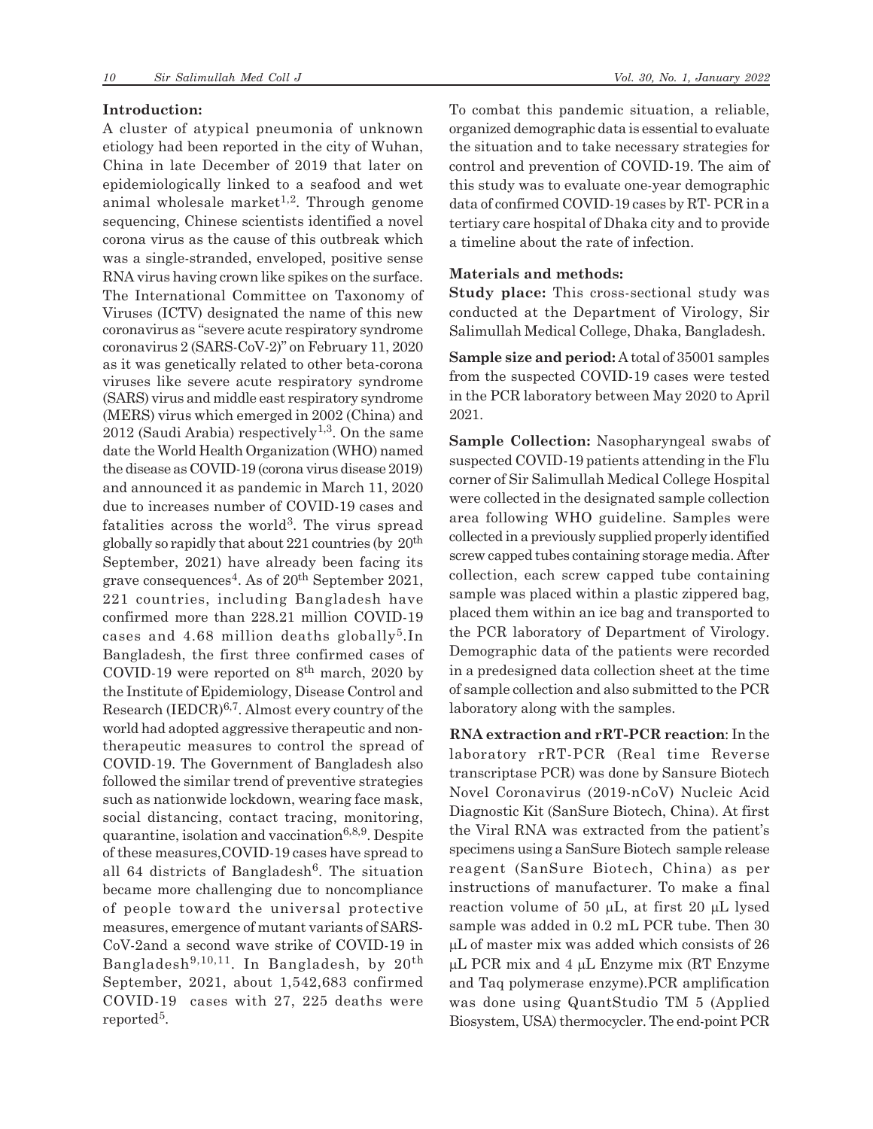### **Introduction:**

A cluster of atypical pneumonia of unknown etiology had been reported in the city of Wuhan, China in late December of 2019 that later on epidemiologically linked to a seafood and wet animal wholesale market<sup>1,2</sup>. Through genome sequencing, Chinese scientists identified a novel corona virus as the cause of this outbreak which was a single-stranded, enveloped, positive sense RNA virus having crown like spikes on the surface. The International Committee on Taxonomy of Viruses (ICTV) designated the name of this new coronavirus as "severe acute respiratory syndrome coronavirus 2 (SARS-CoV-2)" on February 11, 2020 as it was genetically related to other beta-corona viruses like severe acute respiratory syndrome (SARS) virus and middle east respiratory syndrome (MERS) virus which emerged in 2002 (China) and 2012 (Saudi Arabia) respectively<sup>1,3</sup>. On the same date the World Health Organization (WHO) named the disease as COVID-19 (corona virus disease 2019) and announced it as pandemic in March 11, 2020 due to increases number of COVID-19 cases and fatalities across the world<sup>3</sup>. The virus spread globally so rapidly that about  $221$  countries (by  $20<sup>th</sup>$ ) September, 2021) have already been facing its grave consequences<sup>4</sup>. As of 20<sup>th</sup> September 2021, 221 countries, including Bangladesh have confirmed more than 228.21 million COVID-19 cases and 4.68 million deaths globally<sup>5</sup>.In Bangladesh, the first three confirmed cases of COVID-19 were reported on  $8<sup>th</sup>$  march, 2020 by the Institute of Epidemiology, Disease Control and Research (IEDCR)6,7. Almost every country of the world had adopted aggressive therapeutic and nontherapeutic measures to control the spread of COVID-19. The Government of Bangladesh also followed the similar trend of preventive strategies such as nationwide lockdown, wearing face mask, social distancing, contact tracing, monitoring, quarantine, isolation and vaccination<sup>6,8,9</sup>. Despite of these measures,COVID-19 cases have spread to all 64 districts of Bangladesh<sup>6</sup>. The situation became more challenging due to noncompliance of people toward the universal protective measures, emergence of mutant variants of SARS-CoV-2and a second wave strike of COVID-19 in Bangladesh9,10,11. In Bangladesh, by 20th September, 2021, about 1,542,683 confirmed COVID-19 cases with 27, 225 deaths were  $reported<sup>5</sup>.$ 

To combat this pandemic situation, a reliable, organized demographic data is essential to evaluate the situation and to take necessary strategies for control and prevention of COVID-19. The aim of this study was to evaluate one-year demographic data of confirmed COVID-19 cases by RT- PCR in a tertiary care hospital of Dhaka city and to provide a timeline about the rate of infection.

## **Materials and methods:**

**Study place:** This cross-sectional study was conducted at the Department of Virology, Sir Salimullah Medical College, Dhaka, Bangladesh.

**Sample size and period:** A total of 35001 samples from the suspected COVID-19 cases were tested in the PCR laboratory between May 2020 to April 2021.

**Sample Collection:** Nasopharyngeal swabs of suspected COVID-19 patients attending in the Flu corner of Sir Salimullah Medical College Hospital were collected in the designated sample collection area following WHO guideline. Samples were collected in a previously supplied properly identified screw capped tubes containing storage media. After collection, each screw capped tube containing sample was placed within a plastic zippered bag, placed them within an ice bag and transported to the PCR laboratory of Department of Virology. Demographic data of the patients were recorded in a predesigned data collection sheet at the time of sample collection and also submitted to the PCR laboratory along with the samples.

**RNA extraction and rRT-PCR reaction**: In the laboratory rRT-PCR (Real time Reverse transcriptase PCR) was done by Sansure Biotech Novel Coronavirus (2019-nCoV) Nucleic Acid Diagnostic Kit (SanSure Biotech, China). At first the Viral RNA was extracted from the patient's specimens using a SanSure Biotech sample release reagent (SanSure Biotech, China) as per instructions of manufacturer. To make a final reaction volume of 50  $\mu$ L, at first 20  $\mu$ L lysed sample was added in 0.2 mL PCR tube. Then 30  $\mu$ L of master mix was added which consists of 26  $\mu$ L PCR mix and 4  $\mu$ L Enzyme mix (RT Enzyme and Taq polymerase enzyme).PCR amplification was done using QuantStudio TM 5 (Applied Biosystem, USA) thermocycler. The end-point PCR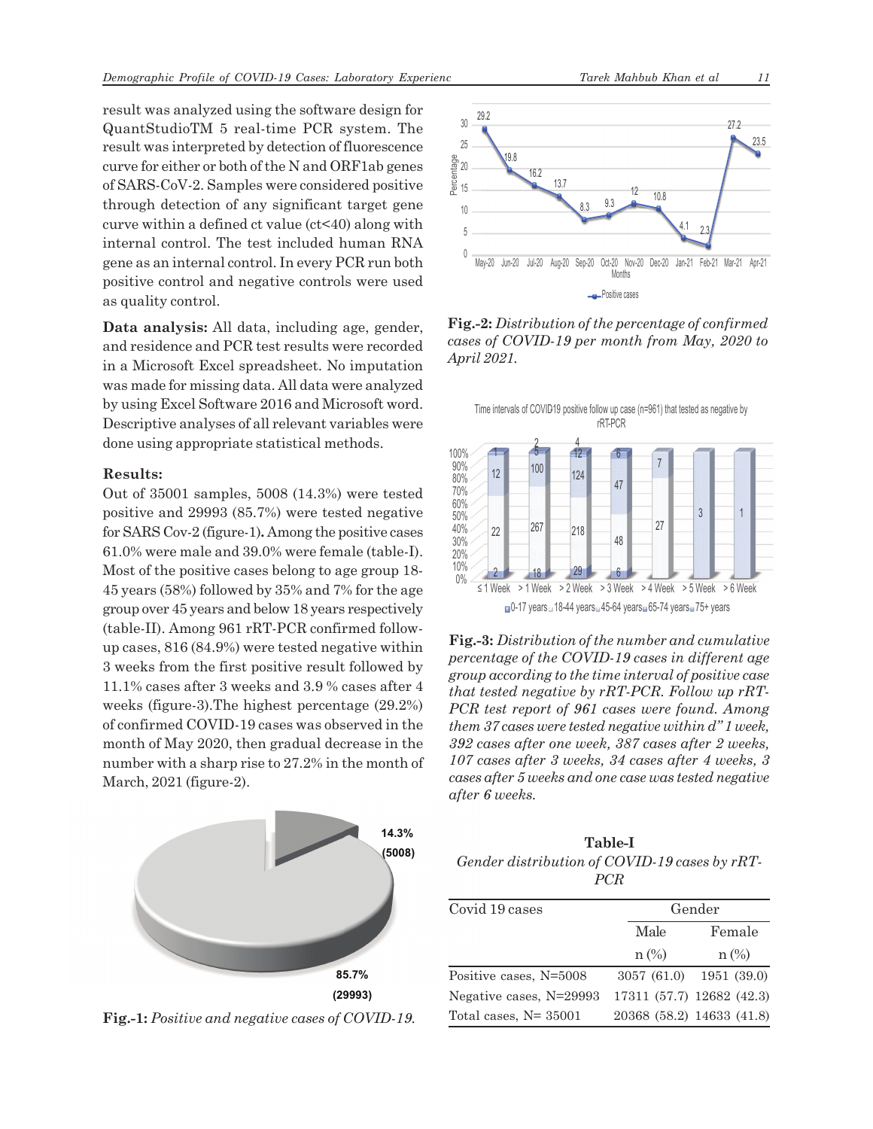result was analyzed using the software design for QuantStudioTM 5 real-time PCR system. The result was interpreted by detection of fluorescence curve for either or both of the N and ORF1ab genes of SARS-CoV-2. Samples were considered positive through detection of any significant target gene curve within a defined ct value (ct<40) along with internal control. The test included human RNA gene as an internal control. In every PCR run both positive control and negative controls were used as quality control.

**Data analysis:** All data, including age, gender, and residence and PCR test results were recorded in a Microsoft Excel spreadsheet. No imputation was made for missing data. All data were analyzed by using Excel Software 2016 and Microsoft word. Descriptive analyses of all relevant variables were done using appropriate statistical methods.

### **Results:**

Out of 35001 samples, 5008 (14.3%) were tested positive and 29993 (85.7%) were tested negative for SARS Cov-2 (figure-1)**.** Among the positive cases 61.0% were male and 39.0% were female (table-I). Most of the positive cases belong to age group 18- 45 years (58%) followed by 35% and 7% for the age group over 45 years and below 18 years respectively (table-II). Among 961 rRT-PCR confirmed followup cases, 816 (84.9%) were tested negative within 3 weeks from the first positive result followed by 11.1% cases after 3 weeks and 3.9 % cases after 4 weeks (figure-3).The highest percentage (29.2%) of confirmed COVID-19 cases was observed in the month of May 2020, then gradual decrease in the number with a sharp rise to 27.2% in the month of March, 2021 (figure-2).



**Fig.-1:** *Positive and negative cases of COVID-19.*



**Fig.-2:** *Distribution of the percentage of confirmed cases of COVID-19 per month from May, 2020 to April 2021.*



**Fig.-3:** *Distribution of the number and cumulative percentage of the COVID-19 cases in different age group according to the time interval of positive case that tested negative by rRT-PCR. Follow up rRT-PCR test report of 961 cases were found. Among them 37 cases were tested negative within d" 1 week, 392 cases after one week, 387 cases after 2 weeks, 107 cases after 3 weeks, 34 cases after 4 weeks, 3 cases after 5 weeks and one case was tested negative after 6 weeks.*

**Table-I** *Gender distribution of COVID-19 cases by rRT-PCR*

| Covid 19 cases           |             | Gender                    |  |
|--------------------------|-------------|---------------------------|--|
|                          | Male        | Female                    |  |
|                          | $n$ (%)     | $n$ (%)                   |  |
| Positive cases, N=5008   | 3057 (61.0) | 1951 (39.0)               |  |
| Negative cases, N=29993  |             | 17311 (57.7) 12682 (42.3) |  |
| Total cases, $N = 35001$ |             | 20368 (58.2) 14633 (41.8) |  |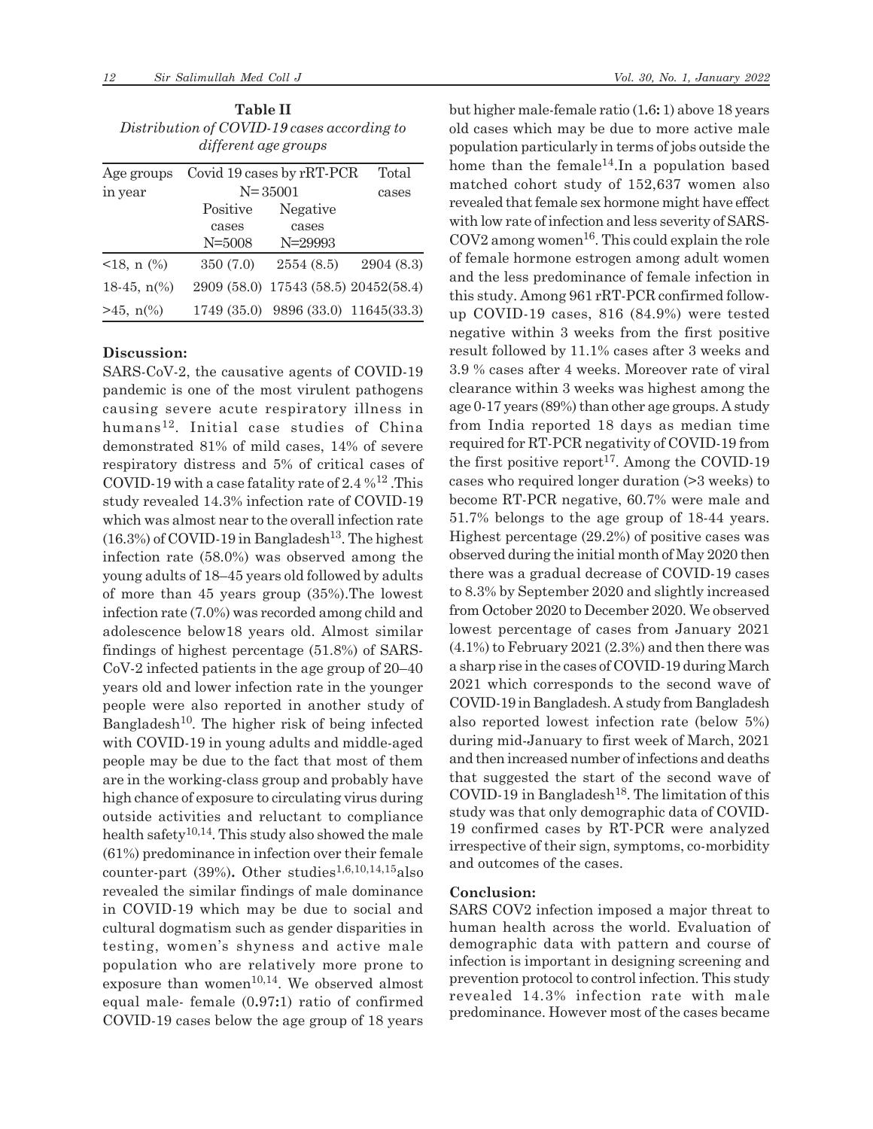| <b>Table II</b>                             |
|---------------------------------------------|
| Distribution of COVID-19 cases according to |
| different age groups                        |

| Age groups            | Covid 19 cases by rRT-PCR |                                      | Total     |
|-----------------------|---------------------------|--------------------------------------|-----------|
| in year               | $N = 35001$               |                                      | cases     |
|                       | Positive                  | Negative                             |           |
|                       | cases                     | cases                                |           |
|                       | N=5008                    | $N = 29993$                          |           |
| $<18$ , n $(\%)$      | 350 (7.0)                 | 2554(8.5)                            | 2904(8.3) |
| 18-45, $n\frac{6}{6}$ |                           | 2909 (58.0) 17543 (58.5) 20452(58.4) |           |
| $>45$ , n(%)          |                           | 1749 (35.0) 9896 (33.0) 11645 (33.3) |           |

### **Discussion:**

SARS-CoV-2, the causative agents of COVID-19 pandemic is one of the most virulent pathogens causing severe acute respiratory illness in humans12. Initial case studies of China demonstrated 81% of mild cases, 14% of severe respiratory distress and 5% of critical cases of COVID-19 with a case fatality rate of  $2.4\%$ <sup>12</sup>. This study revealed 14.3% infection rate of COVID-19 which was almost near to the overall infection rate  $(16.3\%)$  of COVID-19 in Bangladesh<sup>13</sup>. The highest infection rate (58.0%) was observed among the young adults of 18–45 years old followed by adults of more than 45 years group (35%).The lowest infection rate (7.0%) was recorded among child and adolescence below18 years old. Almost similar findings of highest percentage (51.8%) of SARS-CoV-2 infected patients in the age group of 20–40 years old and lower infection rate in the younger people were also reported in another study of Bangladesh<sup>10</sup>. The higher risk of being infected with COVID-19 in young adults and middle-aged people may be due to the fact that most of them are in the working-class group and probably have high chance of exposure to circulating virus during outside activities and reluctant to compliance health safety<sup>10,14</sup>. This study also showed the male (61%) predominance in infection over their female counter-part  $(39\%)$ . Other studies<sup>1,6,10,14,15</sup>also revealed the similar findings of male dominance in COVID-19 which may be due to social and cultural dogmatism such as gender disparities in testing, women's shyness and active male population who are relatively more prone to exposure than women $10,14$ . We observed almost equal male- female (0**.**97**:**1) ratio of confirmed COVID-19 cases below the age group of 18 years but higher male-female ratio (1**.**6**:** 1) above 18 years old cases which may be due to more active male population particularly in terms of jobs outside the home than the female<sup>14</sup>. In a population based matched cohort study of 152,637 women also revealed that female sex hormone might have effect with low rate of infection and less severity of SARS- $COV2$  among women<sup>16</sup>. This could explain the role of female hormone estrogen among adult women and the less predominance of female infection in this study. Among 961 rRT-PCR confirmed followup COVID-19 cases, 816 (84.9%) were tested negative within 3 weeks from the first positive result followed by 11.1% cases after 3 weeks and 3.9 % cases after 4 weeks. Moreover rate of viral clearance within 3 weeks was highest among the age 0-17 years (89%) than other age groups. A study from India reported 18 days as median time required for RT-PCR negativity of COVID-19 from the first positive report<sup>17</sup>. Among the COVID-19 cases who required longer duration (>3 weeks) to become RT-PCR negative, 60.7% were male and 51.7% belongs to the age group of 18-44 years. Highest percentage (29.2%) of positive cases was observed during the initial month of May 2020 then there was a gradual decrease of COVID-19 cases to 8.3% by September 2020 and slightly increased from October 2020 to December 2020. We observed lowest percentage of cases from January 2021 (4.1%) to February 2021 (2.3%) and then there was a sharp rise in the cases of COVID-19 during March 2021 which corresponds to the second wave of COVID-19 in Bangladesh. A study from Bangladesh also reported lowest infection rate (below 5%) during mid-January to first week of March, 2021 and then increased number of infections and deaths that suggested the start of the second wave of  $CovID-19$  in Bangladesh<sup>18</sup>. The limitation of this study was that only demographic data of COVID-19 confirmed cases by RT-PCR were analyzed irrespective of their sign, symptoms, co-morbidity and outcomes of the cases.

### **Conclusion:**

SARS COV2 infection imposed a major threat to human health across the world. Evaluation of demographic data with pattern and course of infection is important in designing screening and prevention protocol to control infection. This study revealed 14.3% infection rate with male predominance. However most of the cases became